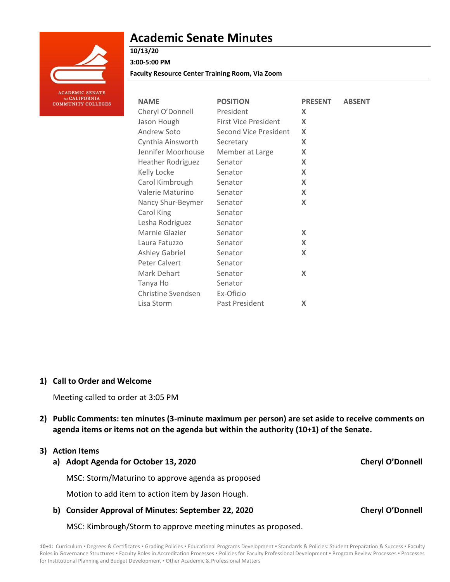

# **Academic Senate Minutes**

**10/13/20 3:00-5:00 PM**

**Faculty Resource Center Training Room, Via Zoom**

| <b>NAME</b>              | <b>POSITION</b>             | <b>PRESENT</b> | <b>ABSENT</b> |
|--------------------------|-----------------------------|----------------|---------------|
| Cheryl O'Donnell         | President                   | X              |               |
| Jason Hough              | <b>First Vice President</b> | X              |               |
| Andrew Soto              | Second Vice President       | X              |               |
| Cynthia Ainsworth        | Secretary                   | X              |               |
| Jennifer Moorhouse       | Member at Large             | X              |               |
| <b>Heather Rodriguez</b> | Senator                     | X              |               |
| Kelly Locke              | Senator                     | X              |               |
| Carol Kimbrough          | Senator                     | X              |               |
| Valerie Maturino         | Senator                     | X              |               |
| Nancy Shur-Beymer        | Senator                     | X              |               |
| Carol King               | Senator                     |                |               |
| Lesha Rodriguez          | Senator                     |                |               |
| Marnie Glazier           | Senator                     | X              |               |
| Laura Fatuzzo            | Senator                     | X              |               |
| Ashley Gabriel           | Senator                     | X              |               |
| Peter Calvert            | Senator                     |                |               |
| Mark Dehart              | Senator                     | X              |               |
| Tanya Ho                 | Senator                     |                |               |
| Christine Svendsen       | Ex-Oficio                   |                |               |
| Lisa Storm               | Past President              | X              |               |

**1) Call to Order and Welcome** 

Meeting called to order at 3:05 PM

**2) Public Comments: ten minutes (3-minute maximum per person) are set aside to receive comments on agenda items or items not on the agenda but within the authority (10+1) of the Senate.**

### **3) Action Items**

**a) Adopt Agenda for October 13, 2020 Cheryl O'Donnell** MSC: Storm/Maturino to approve agenda as proposed

Motion to add item to action item by Jason Hough.

**b) Consider Approval of Minutes: September 22, 2020 Cheryl O'Donnell**

MSC: Kimbrough/Storm to approve meeting minutes as proposed.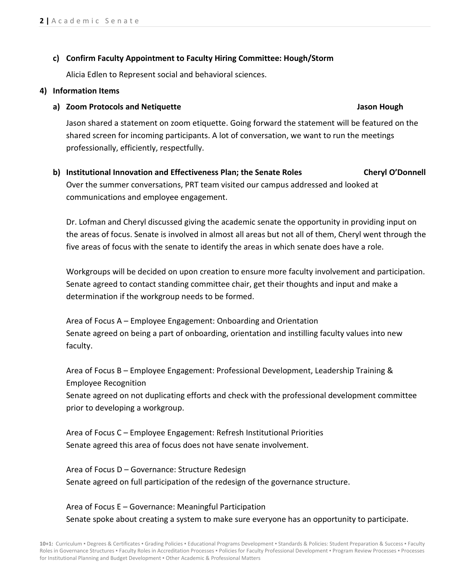### **c) Confirm Faculty Appointment to Faculty Hiring Committee: Hough/Storm**

Alicia Edlen to Represent social and behavioral sciences.

### **4) Information Items**

### **a) Zoom Protocols and Netiquette Jason Hough**

Jason shared a statement on zoom etiquette. Going forward the statement will be featured on the shared screen for incoming participants. A lot of conversation, we want to run the meetings professionally, efficiently, respectfully.

## **b) Institutional Innovation and Effectiveness Plan; the Senate Roles Cheryl O'Donnell** Over the summer conversations, PRT team visited our campus addressed and looked at communications and employee engagement.

Dr. Lofman and Cheryl discussed giving the academic senate the opportunity in providing input on the areas of focus. Senate is involved in almost all areas but not all of them, Cheryl went through the five areas of focus with the senate to identify the areas in which senate does have a role.

Workgroups will be decided on upon creation to ensure more faculty involvement and participation. Senate agreed to contact standing committee chair, get their thoughts and input and make a determination if the workgroup needs to be formed.

Area of Focus A – Employee Engagement: Onboarding and Orientation Senate agreed on being a part of onboarding, orientation and instilling faculty values into new faculty.

Area of Focus B – Employee Engagement: Professional Development, Leadership Training & Employee Recognition

Senate agreed on not duplicating efforts and check with the professional development committee prior to developing a workgroup.

Area of Focus C – Employee Engagement: Refresh Institutional Priorities Senate agreed this area of focus does not have senate involvement.

Area of Focus D – Governance: Structure Redesign Senate agreed on full participation of the redesign of the governance structure.

Area of Focus E – Governance: Meaningful Participation Senate spoke about creating a system to make sure everyone has an opportunity to participate.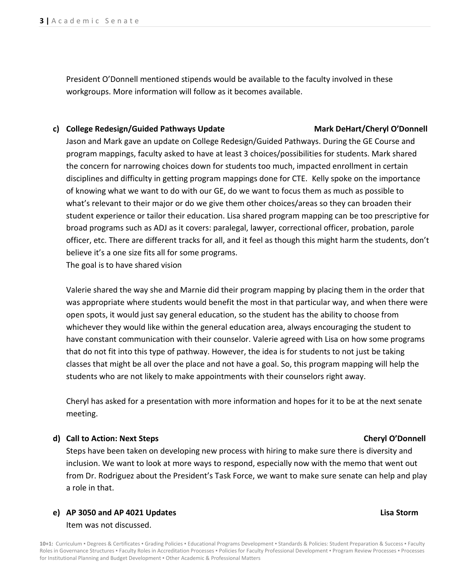President O'Donnell mentioned stipends would be available to the faculty involved in these workgroups. More information will follow as it becomes available.

### **c) College Redesign/Guided Pathways Update Mark DeHart/Cheryl O'Donnell**

Jason and Mark gave an update on College Redesign/Guided Pathways. During the GE Course and program mappings, faculty asked to have at least 3 choices/possibilities for students. Mark shared the concern for narrowing choices down for students too much, impacted enrollment in certain disciplines and difficulty in getting program mappings done for CTE. Kelly spoke on the importance of knowing what we want to do with our GE, do we want to focus them as much as possible to what's relevant to their major or do we give them other choices/areas so they can broaden their student experience or tailor their education. Lisa shared program mapping can be too prescriptive for broad programs such as ADJ as it covers: paralegal, lawyer, correctional officer, probation, parole officer, etc. There are different tracks for all, and it feel as though this might harm the students, don't believe it's a one size fits all for some programs.

The goal is to have shared vision

Valerie shared the way she and Marnie did their program mapping by placing them in the order that was appropriate where students would benefit the most in that particular way, and when there were open spots, it would just say general education, so the student has the ability to choose from whichever they would like within the general education area, always encouraging the student to have constant communication with their counselor. Valerie agreed with Lisa on how some programs that do not fit into this type of pathway. However, the idea is for students to not just be taking classes that might be all over the place and not have a goal. So, this program mapping will help the students who are not likely to make appointments with their counselors right away.

Cheryl has asked for a presentation with more information and hopes for it to be at the next senate meeting.

### **d) Call to Action: Next Steps Cheryl O'Donnell**

Steps have been taken on developing new process with hiring to make sure there is diversity and inclusion. We want to look at more ways to respond, especially now with the memo that went out from Dr. Rodriguez about the President's Task Force, we want to make sure senate can help and play a role in that.

### **e) AP 3050 and AP 4021 Updates Lisa Storm** Item was not discussed.

10+1: Curriculum · Degrees & Certificates · Grading Policies · Educational Programs Development · Standards & Policies: Student Preparation & Success · Faculty Roles in Governance Structures . Faculty Roles in Accreditation Processes . Policies for Faculty Professional Development . Program Review Processes . Processes for Institutional Planning and Budget Development ▪ Other Academic & Professional Matters